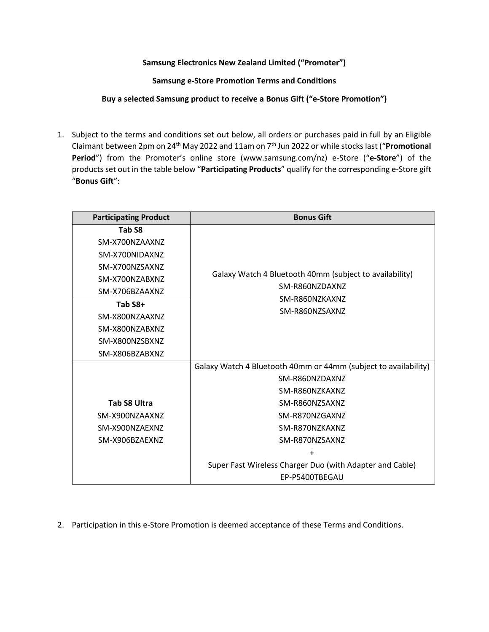## **Samsung Electronics New Zealand Limited ("Promoter")**

**Samsung e-Store Promotion Terms and Conditions**

**Buy a selected Samsung product to receive a Bonus Gift ("e-Store Promotion")**

1. Subject to the terms and conditions set out below, all orders or purchases paid in full by an Eligible Claimant between 2pm on 24<sup>th</sup> May 2022 and 11am on 7<sup>th</sup> Jun 2022 or while stocks last ("**Promotional Period**") from the Promoter's online store (www.samsung.com/nz) e-Store ("**e-Store**") of the products set out in the table below "**Participating Products**" qualify for the corresponding e-Store gift "**Bonus Gift**":

| <b>Participating Product</b> | <b>Bonus Gift</b>                                                                                             |
|------------------------------|---------------------------------------------------------------------------------------------------------------|
| Tab S8                       |                                                                                                               |
| SM-X700NZAAXNZ               |                                                                                                               |
| SM-X700NIDAXNZ               |                                                                                                               |
| SM-X700NZSAXNZ               | Galaxy Watch 4 Bluetooth 40mm (subject to availability)<br>SM-R860NZDAXNZ<br>SM-R860NZKAXNZ<br>SM-R860NZSAXNZ |
| SM-X700NZABXNZ               |                                                                                                               |
| SM-X706BZAAXNZ               |                                                                                                               |
| Tab S8+                      |                                                                                                               |
| SM-X800NZAAXNZ               |                                                                                                               |
| SM-X800NZABXNZ               |                                                                                                               |
| SM-X800NZSBXNZ               |                                                                                                               |
| SM-X806BZABXNZ               |                                                                                                               |
|                              | Galaxy Watch 4 Bluetooth 40mm or 44mm (subject to availability)                                               |
|                              | SM-R860NZDAXNZ                                                                                                |
|                              | SM-R860NZKAXNZ                                                                                                |
| <b>Tab S8 Ultra</b>          | SM-R860NZSAXNZ                                                                                                |
| SM-X900NZAAXNZ               | SM-R870NZGAXNZ                                                                                                |
| SM-X900NZAEXNZ               | SM-R870NZKAXNZ                                                                                                |
| SM-X906BZAEXNZ               | SM-R870NZSAXNZ                                                                                                |
|                              | +                                                                                                             |
|                              | Super Fast Wireless Charger Duo (with Adapter and Cable)                                                      |
|                              | EP-P5400TBEGAU                                                                                                |

2. Participation in this e-Store Promotion is deemed acceptance of these Terms and Conditions.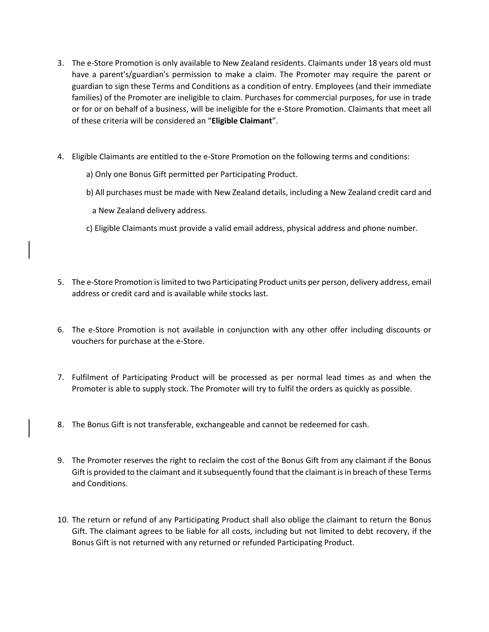- 3. The e-Store Promotion is only available to New Zealand residents. Claimants under 18 years old must have a parent's/guardian's permission to make a claim. The Promoter may require the parent or guardian to sign these Terms and Conditions as a condition of entry. Employees (and their immediate families) of the Promoter are ineligible to claim. Purchases for commercial purposes, for use in trade or for or on behalf of a business, will be ineligible for the e-Store Promotion. Claimants that meet all of these criteria will be considered an "**Eligible Claimant**".
- 4. Eligible Claimants are entitled to the e-Store Promotion on the following terms and conditions:
	- a) Only one Bonus Gift permitted per Participating Product.
	- b) All purchases must be made with New Zealand details, including a New Zealand credit card and
		- a New Zealand delivery address.
	- c) Eligible Claimants must provide a valid email address, physical address and phone number.
- 5. The e-Store Promotion is limited to two Participating Product units per person, delivery address, email address or credit card and is available while stocks last.
- 6. The e-Store Promotion is not available in conjunction with any other offer including discounts or vouchers for purchase at the e-Store.
- 7. Fulfilment of Participating Product will be processed as per normal lead times as and when the Promoter is able to supply stock. The Promoter will try to fulfil the orders as quickly as possible.
- 8. The Bonus Gift is not transferable, exchangeable and cannot be redeemed for cash.
- 9. The Promoter reserves the right to reclaim the cost of the Bonus Gift from any claimant if the Bonus Gift is provided to the claimant and it subsequently found that the claimant is in breach of these Terms and Conditions.
- 10. The return or refund of any Participating Product shall also oblige the claimant to return the Bonus Gift. The claimant agrees to be liable for all costs, including but not limited to debt recovery, if the Bonus Gift is not returned with any returned or refunded Participating Product.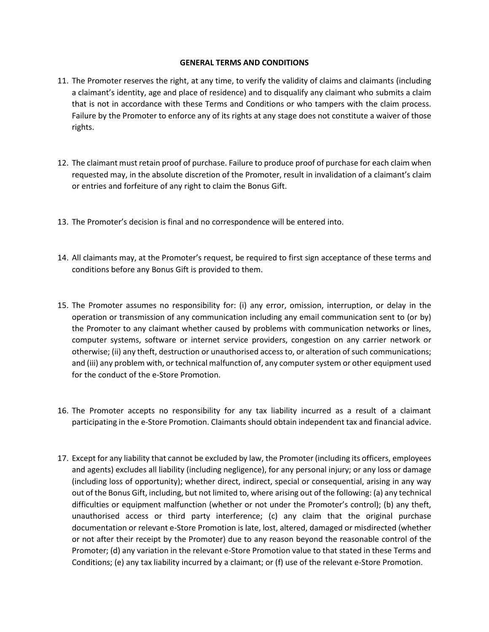## **GENERAL TERMS AND CONDITIONS**

- 11. The Promoter reserves the right, at any time, to verify the validity of claims and claimants (including a claimant's identity, age and place of residence) and to disqualify any claimant who submits a claim that is not in accordance with these Terms and Conditions or who tampers with the claim process. Failure by the Promoter to enforce any of its rights at any stage does not constitute a waiver of those rights.
- 12. The claimant must retain proof of purchase. Failure to produce proof of purchase for each claim when requested may, in the absolute discretion of the Promoter, result in invalidation of a claimant's claim or entries and forfeiture of any right to claim the Bonus Gift.
- 13. The Promoter's decision is final and no correspondence will be entered into.
- 14. All claimants may, at the Promoter's request, be required to first sign acceptance of these terms and conditions before any Bonus Gift is provided to them.
- 15. The Promoter assumes no responsibility for: (i) any error, omission, interruption, or delay in the operation or transmission of any communication including any email communication sent to (or by) the Promoter to any claimant whether caused by problems with communication networks or lines, computer systems, software or internet service providers, congestion on any carrier network or otherwise; (ii) any theft, destruction or unauthorised access to, or alteration of such communications; and (iii) any problem with, or technical malfunction of, any computer system or other equipment used for the conduct of the e-Store Promotion.
- 16. The Promoter accepts no responsibility for any tax liability incurred as a result of a claimant participating in the e-Store Promotion. Claimants should obtain independent tax and financial advice.
- 17. Except for any liability that cannot be excluded by law, the Promoter (including its officers, employees and agents) excludes all liability (including negligence), for any personal injury; or any loss or damage (including loss of opportunity); whether direct, indirect, special or consequential, arising in any way out of the Bonus Gift, including, but not limited to, where arising out of the following: (a) any technical difficulties or equipment malfunction (whether or not under the Promoter's control); (b) any theft, unauthorised access or third party interference; (c) any claim that the original purchase documentation or relevant e-Store Promotion is late, lost, altered, damaged or misdirected (whether or not after their receipt by the Promoter) due to any reason beyond the reasonable control of the Promoter; (d) any variation in the relevant e-Store Promotion value to that stated in these Terms and Conditions; (e) any tax liability incurred by a claimant; or (f) use of the relevant e-Store Promotion.